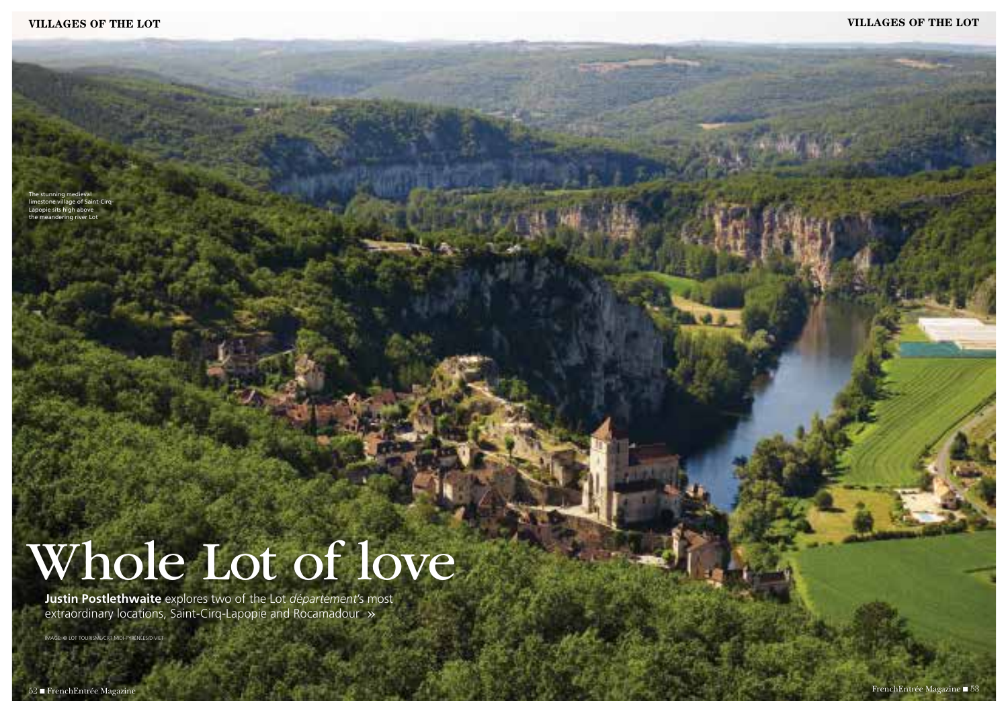# **villages of the lot villages of the lot**

**Justin Postlethwaite** explores two of the Lot *département*'s most extraordinary locations, Saint-Cirq-Lapopie and Rocamadour »

The stunning medieval limestone village of Saint-Cirq-Lapopie sits high above the meandering river Lot

# Whole Lot of love

image: © LOT TOURISME/CRT Midi-Pyrénées/D VIET

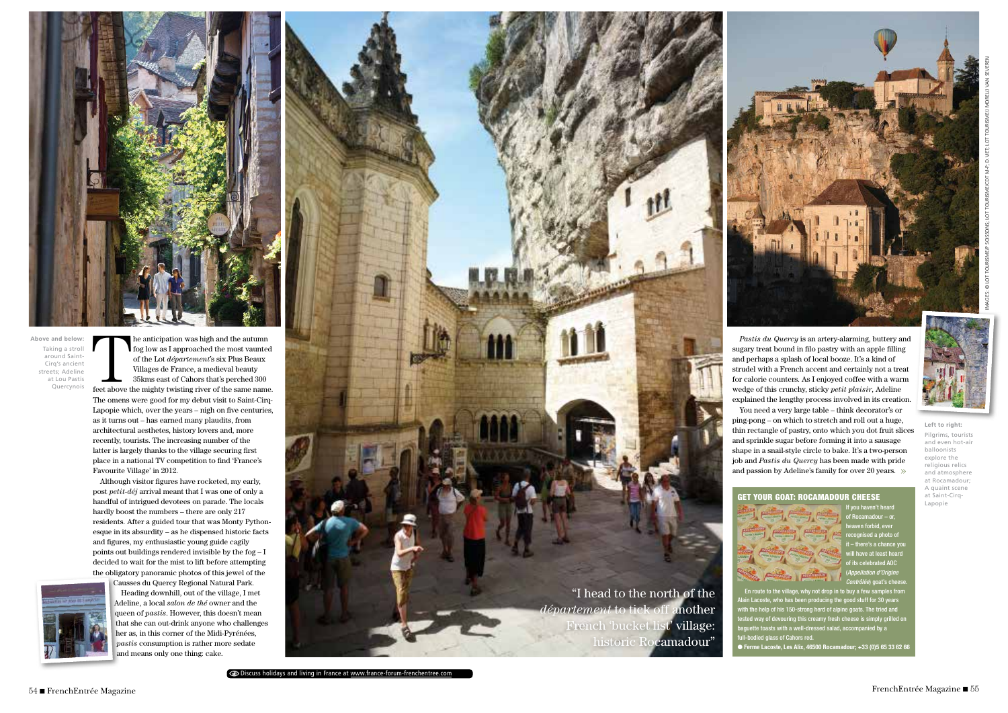

The anticipation was high and the autumn<br>
fog low as I approached the most vaunted<br>
of the Lot *département*'s six Plus Beaux<br>
Villages de France, a medieval beauty<br>
35kms east of Cahors that's perched 300<br>
feet above the fog low as I approached the most vaunted of the Lot *département*'s six Plus Beaux Villages de France, a medieval beauty 35kms east of Cahors that's perched 300

The omens were good for my debut visit to Saint-Cirq-Lapopie which, over the years – nigh on five centuries, as it turns out – has earned many plaudits, from architectural aesthetes, history lovers and, more recently, tourists. The increasing number of the latter is largely thanks to the village securing first place in a national TV competition to find 'France's Favourite Village' in 2012.

Although visitor figures have rocketed, my early, post *petit-déj* arrival meant that I was one of only a handful of intrigued devotees on parade. The locals hardly boost the numbers – there are only 217 residents. After a guided tour that was Monty Pythonesque in its absurdity – as he dispensed historic facts and figures, my enthusiastic young guide cagily points out buildings rendered invisible by the fog – I decided to wait for the mist to lift before attempting the obligatory panoramic photos of this jewel of the



Causses du Quercy Regional Natural Park. Heading downhill, out of the village, I met Adeline, a local *salon de thé* owner and the queen of *pastis*. However, this doesn't mean that she can out-drink anyone who challenges her as, in this corner of the Midi-Pyrénées, *pastis* consumption is rather more sedate and means only one thing: cake.



# GET YOUR GOAT: ROCAMADOUR CHEESE



If you haven't heard of Rocamadour – or, heaven forbid, ever recognised a photo of it – there's a chance you will have at least heard of its celebrated AOC (*Appellation d'Origine Contrôlée*) goat's cheese.

why not drop in to buy a few samples from en producing the good stuff for 30 years o of his 150-strong herd of alpine goats. The tried and way of devouring this creamy fresh cheese is simply grilled on uette toasts with a well-dressed salad, accompanied by a odied glass of Cahors red.

*Pastis du Quercy* is an artery-alarming, buttery and sugary treat bound in filo pastry with an apple filling and perhaps a splash of local booze. It's a kind of strudel with a French accent and certainly not a treat for calorie counters. As I enjoyed coffee with a warm wedge of this crunchy, sticky *petit plaisir*, Adeline explained the lengthy process involved in its creation. You need a very large table – think decorator's or ping-pong – on which to stretch and roll out a huge, thin rectangle of pastry, onto which you dot fruit slices and sprinkle sugar before forming it into a sausage shape in a snail-style circle to bake. It's a two-person job and *Pastis du Quercy* has been made with pride and passion by Adeline's family for over 20 years. »

● Ferme Lacoste, Les Alix, 46500 Rocamadour; +33 (0)5 65 33 62 66



Discuss holidays and living in France at www.france-forum-frenchentree.com



**Above and below:** Taking a stroll around Saint-Cirq's ancient streets; Adeline at Lou Pastis Quercynois

# **Left to right:**

Pilgrims, tourists and even hot-air balloonists explore the religious relics and atmosphere at Rocamadour; A quaint scene at Saint-Cirq-Lapopie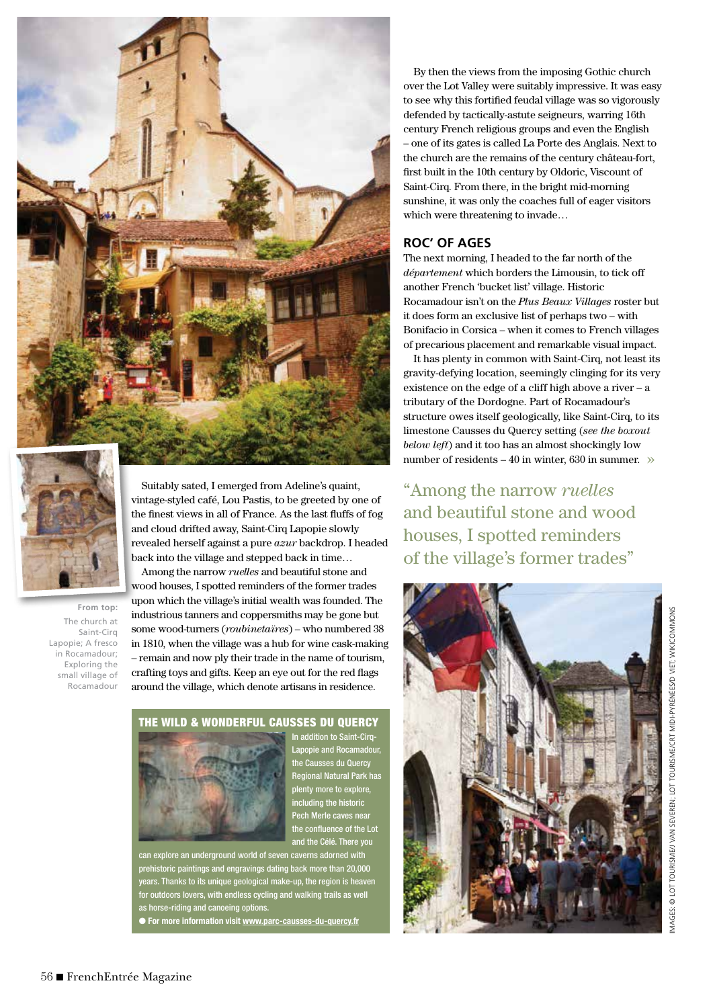



**From top:** The church at Saint-Cirq Lapopie; A fresco in Rocamadour; Exploring the small village of Rocamadour

Suitably sated, I emerged from Adeline's quaint, vintage-styled café, Lou Pastis, to be greeted by one of the finest views in all of France. As the last fluffs of fog and cloud drifted away, Saint-Cirq Lapopie slowly revealed herself against a pure *azur* backdrop. I headed back into the village and stepped back in time…

Among the narrow *ruelles* and beautiful stone and wood houses, I spotted reminders of the former trades upon which the village's initial wealth was founded. The industrious tanners and coppersmiths may be gone but some wood-turners (*roubinetaïres*) – who numbered 38 in 1810, when the village was a hub for wine cask-making – remain and now ply their trade in the name of tourism, crafting toys and gifts. Keep an eye out for the red flags around the village, which denote artisans in residence.

# the WILD & WONDERFUL CAUSSES DU QUERCY



In addition to Saint-Cirq-Lapopie and Rocamadour, the Causses du Quercy Regional Natural Park has plenty more to explore, including the historic Pech Merle caves near the confluence of the Lot and the Célé. There you

can explore an underground world of seven caverns adorned with prehistoric paintings and engravings dating back more than 20,000 years. Thanks to its unique geological make-up, the region is heaven for outdoors lovers, with endless cycling and walking trails as well as horse-riding and canoeing options.

● For more information visit www.parc-causses-du-quercy.fr

By then the views from the imposing Gothic church over the Lot Valley were suitably impressive. It was easy to see why this fortified feudal village was so vigorously defended by tactically-astute seigneurs, warring 16th century French religious groups and even the English – one of its gates is called La Porte des Anglais. Next to the church are the remains of the century château-fort, first built in the 10th century by Oldoric, Viscount of Saint-Cirq. From there, in the bright mid-morning sunshine, it was only the coaches full of eager visitors which were threatening to invade…

# **ROC' OF AGES**

The next morning, I headed to the far north of the *département* which borders the Limousin, to tick off another French 'bucket list' village. Historic Rocamadour isn't on the *Plus Beaux Villages* roster but it does form an exclusive list of perhaps two – with Bonifacio in Corsica – when it comes to French villages of precarious placement and remarkable visual impact.

It has plenty in common with Saint-Cirq, not least its gravity-defying location, seemingly clinging for its very existence on the edge of a cliff high above a river – a tributary of the Dordogne. Part of Rocamadour's structure owes itself geologically, like Saint-Cirq, to its limestone Causses du Quercy setting (*see the boxout below left*) and it too has an almost shockingly low number of residents – 40 in winter, 630 in summer.  $\gg$ 

"Among the narrow *ruelles* and beautiful stone and wood houses, I spotted reminders of the village's former trades"